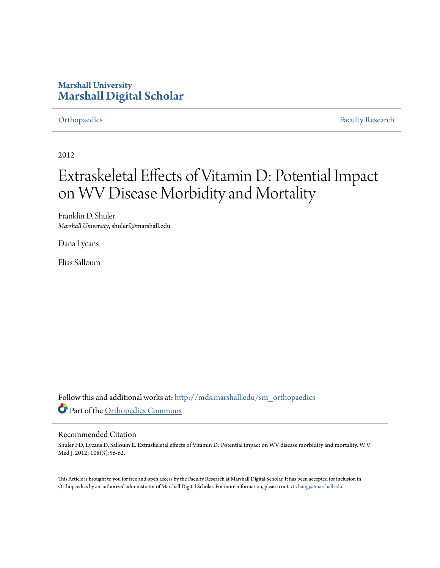# **Marshall University [Marshall Digital Scholar](http://mds.marshall.edu?utm_source=mds.marshall.edu%2Fsm_orthopaedics%2F15&utm_medium=PDF&utm_campaign=PDFCoverPages)**

[Orthopaedics](http://mds.marshall.edu/sm_orthopaedics?utm_source=mds.marshall.edu%2Fsm_orthopaedics%2F15&utm_medium=PDF&utm_campaign=PDFCoverPages) [Faculty Research](http://mds.marshall.edu/sm_faculty?utm_source=mds.marshall.edu%2Fsm_orthopaedics%2F15&utm_medium=PDF&utm_campaign=PDFCoverPages)

2012

# Extraskeletal Effects of Vitamin D: Potential Impact on WV Disease Morbidity and Mortality

Franklin D. Shuler *Marshall University*, shulerf@marshall.edu

Dana Lycans

Elias Salloum

Follow this and additional works at: [http://mds.marshall.edu/sm\\_orthopaedics](http://mds.marshall.edu/sm_orthopaedics?utm_source=mds.marshall.edu%2Fsm_orthopaedics%2F15&utm_medium=PDF&utm_campaign=PDFCoverPages) Part of the [Orthopedics Commons](http://network.bepress.com/hgg/discipline/696?utm_source=mds.marshall.edu%2Fsm_orthopaedics%2F15&utm_medium=PDF&utm_campaign=PDFCoverPages)

### Recommended Citation

Shuler FD, Lycans D, Salloum E. Extraskeletal effects of Vitamin D: Potential impact on WV disease morbidity and mortality. W V Med J. 2012; 108(3):56-62.

This Article is brought to you for free and open access by the Faculty Research at Marshall Digital Scholar. It has been accepted for inclusion in Orthopaedics by an authorized administrator of Marshall Digital Scholar. For more information, please contact [zhangj@marshall.edu.](mailto:zhangj@marshall.edu)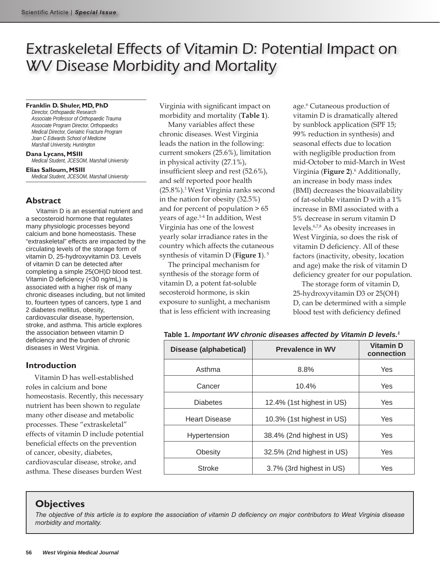# Extraskeletal Effects of Vitamin D: Potential Impact on WV Disease Morbidity and Mortality

#### **Franklin D. Shuler, MD, PhD**

*Director, Orthopaedic Research Associate Professor of Orthopaedic Trauma Associate Program Director, Orthopaedics Medical Director, Geriatric Fracture Program Joan C Edwards School of Medicine Marshall University, Huntington*

**Dana Lycans, MSIII** *Medical Student, JCESOM, Marshall University*

**Elias Salloum, MSIII** *Medical Student, JCESOM, Marshall University*

# **Abstract**

Vitamin D is an essential nutrient and a secosteroid hormone that regulates many physiologic processes beyond calcium and bone homeostasis. These "extraskeletal" effects are impacted by the circulating levels of the storage form of vitamin D, 25-hydroxyvitamin D3. Levels of vitamin D can be detected after completing a simple 25(OH)D blood test. Vitamin D deficiency (<30 ng/mL) is associated with a higher risk of many chronic diseases including, but not limited to, fourteen types of cancers, type 1 and 2 diabetes mellitus, obesity, cardiovascular disease, hypertension, stroke, and asthma. This article explores the association between vitamin D deficiency and the burden of chronic diseases in West Virginia.

# **Introduction**

Vitamin D has well-established roles in calcium and bone homeostasis. Recently, this necessary nutrient has been shown to regulate many other disease and metabolic processes. These "extraskeletal" effects of vitamin D include potential beneficial effects on the prevention of cancer, obesity, diabetes, cardiovascular disease, stroke, and asthma. These diseases burden West

Virginia with significant impact on morbidity and mortality (**Table 1**).

Many variables affect these chronic diseases. West Virginia leads the nation in the following: current smokers (25.6%), limitation in physical activity (27.1%), insufficient sleep and rest (52.6%), and self reported poor health (25.8%).1 West Virginia ranks second in the nation for obesity (32.5%) and for percent of population > 65 years of age.1-4 In addition, West Virginia has one of the lowest yearly solar irradiance rates in the country which affects the cutaneous synthesis of vitamin D (**Figure 1**). 5

The principal mechanism for synthesis of the storage form of vitamin D, a potent fat-soluble secosteroid hormone, is skin exposure to sunlight, a mechanism that is less efficient with increasing

age.<sup>6</sup> Cutaneous production of vitamin D is dramatically altered by sunblock application (SPF 15; 99% reduction in synthesis) and seasonal effects due to location with negligible production from mid-October to mid-March in West Virginia (**Figure 2**).6 Additionally, an increase in body mass index (BMI) decreases the bioavailability of fat-soluble vitamin D with a 1% increase in BMI associated with a 5% decrease in serum vitamin D levels.6,7,8 As obesity increases in West Virginia, so does the risk of vitamin D deficiency. All of these factors (inactivity, obesity, location and age) make the risk of vitamin D deficiency greater for our population.

The storage form of vitamin D, 25-hydroxyvitamin D3 or 25(OH) D, can be determined with a simple blood test with deficiency defined

|  |  | Table 1. Important WV chronic diseases affected by Vitamin D levels. <sup>1</sup> |  |  |  |  |  |  |
|--|--|-----------------------------------------------------------------------------------|--|--|--|--|--|--|
|--|--|-----------------------------------------------------------------------------------|--|--|--|--|--|--|

| Disease (alphabetical) | <b>Prevalence in WV</b>   | <b>Vitamin D</b><br>connection |  |
|------------------------|---------------------------|--------------------------------|--|
| Asthma                 | 8.8%                      | Yes                            |  |
| Cancer                 | 10.4%                     | Yes                            |  |
| <b>Diabetes</b>        | 12.4% (1st highest in US) | Yes                            |  |
| <b>Heart Disease</b>   | 10.3% (1st highest in US) | Yes                            |  |
| Hypertension           | 38.4% (2nd highest in US) | Yes                            |  |
| Obesity                | 32.5% (2nd highest in US) | Yes                            |  |
| <b>Stroke</b>          | 3.7% (3rd highest in US)  | Yes                            |  |

# **Objectives**

*The objective of this article is to explore the association of vitamin D deficiency on major contributors to West Virginia disease morbidity and mortality.*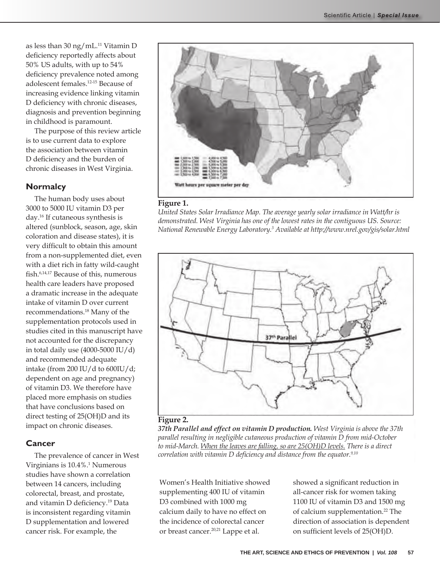as less than 30 ng/mL.11 Vitamin D deficiency reportedly affects about 50% US adults, with up to 54% deficiency prevalence noted among adolescent females.12-15 Because of increasing evidence linking vitamin D deficiency with chronic diseases, diagnosis and prevention beginning in childhood is paramount.

The purpose of this review article is to use current data to explore the association between vitamin D deficiency and the burden of chronic diseases in West Virginia.

# **Normalcy**

The human body uses about 3000 to 5000 IU vitamin D3 per day.16 If cutaneous synthesis is altered (sunblock, season, age, skin coloration and disease states), it is very difficult to obtain this amount from a non-supplemented diet, even with a diet rich in fatty wild-caught fish.6,14,17 Because of this, numerous health care leaders have proposed a dramatic increase in the adequate intake of vitamin D over current recommendations.18 Many of the supplementation protocols used in studies cited in this manuscript have not accounted for the discrepancy in total daily use  $(4000-5000 \text{ IU}/\text{d})$ and recommended adequate intake (from 200 IU/d to 600IU/d; dependent on age and pregnancy) of vitamin D3. We therefore have placed more emphasis on studies that have conclusions based on direct testing of 25(OH)D and its impact on chronic diseases.

# **Cancer**

The prevalence of cancer in West Virginians is 10.4%.<sup>1</sup> Numerous studies have shown a correlation between 14 cancers, including colorectal, breast, and prostate, and vitamin D deficiency.19 Data is inconsistent regarding vitamin D supplementation and lowered cancer risk. For example, the



#### **Figure 1.**

*United States Solar Irradiance Map. The average yearly solar irradiance in Watt/hr is demonstrated. West Virginia has one of the lowest rates in the contiguous US. Source: National Renewable Energy Laboratory.3 Available at http://www.nrel.gov/gis/solar.html*



#### **Figure 2.**

*37th Parallel and effect on vitamin D production. West Virginia is above the 37th parallel resulting in negligible cutaneous production of vitamin D from mid-October to mid-March. When the leaves are falling, so are 25(OH)D levels. There is a direct correlation with vitamin D deficiency and distance from the equator.9,10*

Women's Health Initiative showed supplementing 400 IU of vitamin D3 combined with 1000 mg calcium daily to have no effect on the incidence of colorectal cancer or breast cancer.20,21 Lappe et al.

showed a significant reduction in all-cancer risk for women taking 1100 IU of vitamin D3 and 1500 mg of calcium supplementation.22 The direction of association is dependent on sufficient levels of 25(OH)D.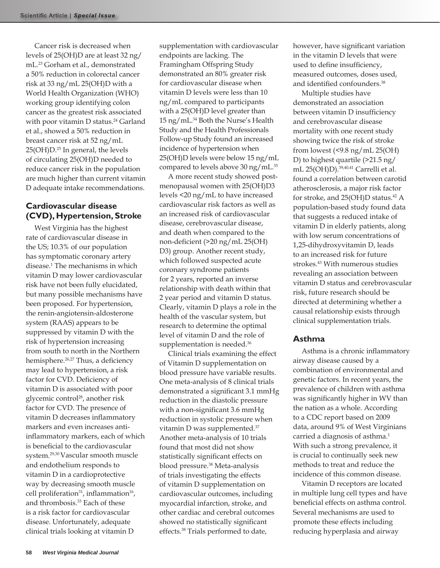Cancer risk is decreased when levels of 25(OH)D are at least 32 ng/ mL.23 Gorham et al., demonstrated a 50% reduction in colorectal cancer risk at 33 ng/mL 25(OH)D with a World Health Organization (WHO) working group identifying colon cancer as the greatest risk associated with poor vitamin D status.<sup>24</sup> Garland et al., showed a 50% reduction in breast cancer risk at 52 ng/mL 25(OH)D.25 In general, the levels of circulating 25(OH)D needed to reduce cancer risk in the population are much higher than current vitamin D adequate intake recommendations.

# **Cardiovascular disease (CVD), Hypertension, Stroke**

West Virginia has the highest rate of cardiovascular disease in the US; 10.3% of our population has symptomatic coronary artery disease.<sup>1</sup> The mechanisms in which vitamin D may lower cardiovascular risk have not been fully elucidated, but many possible mechanisms have been proposed. For hypertension, the renin-angiotensin-aldosterone system (RAAS) appears to be suppressed by vitamin D with the risk of hypertension increasing from south to north in the Northern hemisphere.<sup>26,27</sup> Thus, a deficiency may lead to hypertension, a risk factor for CVD. Deficiency of vitamin D is associated with poor glycemic control<sup>28</sup>, another risk factor for CVD. The presence of vitamin D decreases inflammatory markers and even increases antiinflammatory markers, each of which is beneficial to the cardiovascular system.29,30 Vascular smooth muscle and endothelium responds to vitamin D in a cardioprotective way by decreasing smooth muscle cell proliferation<sup>31</sup>, inflammation<sup>16</sup>, and thrombosis.<sup>33</sup> Each of these is a risk factor for cardiovascular disease. Unfortunately, adequate clinical trials looking at vitamin D

supplementation with cardiovascular endpoints are lacking. The Framingham Offspring Study demonstrated an 80% greater risk for cardiovascular disease when vitamin D levels were less than 10 ng/mL compared to participants with a 25(OH)D level greater than 15 ng/mL.34 Both the Nurse's Health Study and the Health Professionals Follow-up Study found an increased incidence of hypertension when 25(OH)D levels were below 15 ng/mL compared to levels above 30 ng/mL.<sup>35</sup>

A more recent study showed postmenopausal women with 25(OH)D3 levels <20 ng/mL to have increased cardiovascular risk factors as well as an increased risk of cardiovascular disease, cerebrovascular disease, and death when compared to the non-deficient (>20 ng/mL 25(OH) D3) group. Another recent study, which followed suspected acute coronary syndrome patients for 2 years, reported an inverse relationship with death within that 2 year period and vitamin D status. Clearly, vitamin D plays a role in the health of the vascular system, but research to determine the optimal level of vitamin D and the role of supplementation is needed.<sup>36</sup>

Clinical trials examining the effect of Vitamin D supplementation on blood pressure have variable results. One meta-analysis of 8 clinical trials demonstrated a significant 3.1 mmHg reduction in the diastolic pressure with a non-significant 3.6 mmHg reduction in systolic pressure when vitamin D was supplemented.37 Another meta-analysis of 10 trials found that most did not show statistically significant effects on blood pressure.38 Meta-analysis of trials investigating the effects of vitamin D supplementation on cardiovascular outcomes, including myocardial infarction, stroke, and other cardiac and cerebral outcomes showed no statistically significant effects.38 Trials performed to date,

however, have significant variation in the vitamin D levels that were used to define insufficiency, measured outcomes, doses used, and identified confounders.<sup>38</sup>

Multiple studies have demonstrated an association between vitamin D insufficiency and cerebrovascular disease mortality with one recent study showing twice the risk of stroke from lowest (<9.8 ng/mL 25(OH) D) to highest quartile (>21.5 ng/ mL 25(OH)D).39,40,41 Carrelli et al. found a correlation between carotid atherosclerosis, a major risk factor for stroke, and 25(OH)D status.42 A population-based study found data that suggests a reduced intake of vitamin D in elderly patients, along with low serum concentrations of 1,25-dihydroxyvitamin D, leads to an increased risk for future strokes.<sup>43</sup> With numerous studies revealing an association between vitamin D status and cerebrovascular risk, future research should be directed at determining whether a causal relationship exists through clinical supplementation trials.

# **Asthma**

Asthma is a chronic inflammatory airway disease caused by a combination of environmental and genetic factors. In recent years, the prevalence of children with asthma was significantly higher in WV than the nation as a whole. According to a CDC report based on 2009 data, around 9% of West Virginians carried a diagnosis of asthma.<sup>1</sup> With such a strong prevalence, it is crucial to continually seek new methods to treat and reduce the incidence of this common disease.

Vitamin D receptors are located in multiple lung cell types and have beneficial effects on asthma control. Several mechanisms are used to promote these effects including reducing hyperplasia and airway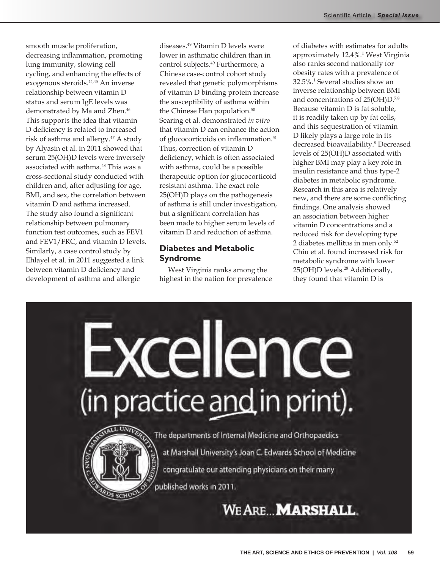smooth muscle proliferation, decreasing inflammation, promoting lung immunity, slowing cell cycling, and enhancing the effects of exogenous steroids.44,45 An inverse relationship between vitamin D status and serum IgE levels was demonstrated by Ma and Zhen.<sup>46</sup> This supports the idea that vitamin D deficiency is related to increased risk of asthma and allergy.<sup>47</sup> A study by Alyasin et al. in 2011 showed that serum 25(OH)D levels were inversely associated with asthma.<sup>48</sup> This was a cross-sectional study conducted with children and, after adjusting for age, BMI, and sex, the correlation between vitamin D and asthma increased. The study also found a significant relationship between pulmonary function test outcomes, such as FEV1 and FEV1/FRC, and vitamin D levels. Similarly, a case control study by Ehlayel et al. in 2011 suggested a link between vitamin D deficiency and development of asthma and allergic

diseases.49 Vitamin D levels were lower in asthmatic children than in control subjects.<sup>49</sup> Furthermore, a Chinese case-control cohort study revealed that genetic polymorphisms of vitamin D binding protein increase the susceptibility of asthma within the Chinese Han population.<sup>50</sup> Searing et al. demonstrated *in vitro* that vitamin D can enhance the action of glucocorticoids on inflammation.<sup>51</sup> Thus, correction of vitamin D deficiency, which is often associated with asthma, could be a possible therapeutic option for glucocorticoid resistant asthma. The exact role 25(OH)D plays on the pathogenesis of asthma is still under investigation, but a significant correlation has been made to higher serum levels of vitamin D and reduction of asthma.

# **Diabetes and Metabolic Syndrome**

West Virginia ranks among the highest in the nation for prevalence of diabetes with estimates for adults approximately 12.4%.1 West Virginia also ranks second nationally for obesity rates with a prevalence of 32.5%.1 Several studies show an inverse relationship between BMI and concentrations of 25(OH)D.<sup>7,8</sup> Because vitamin D is fat soluble, it is readily taken up by fat cells, and this sequestration of vitamin D likely plays a large role in its decreased bioavailability.<sup>8</sup> Decreased levels of 25(OH)D associated with higher BMI may play a key role in insulin resistance and thus type-2 diabetes in metabolic syndrome. Research in this area is relatively new, and there are some conflicting findings. One analysis showed an association between higher vitamin D concentrations and a reduced risk for developing type 2 diabetes mellitus in men only.<sup>52</sup> Chiu et al. found increased risk for metabolic syndrome with lower 25(OH)D levels.<sup>28</sup> Additionally, they found that vitamin D is

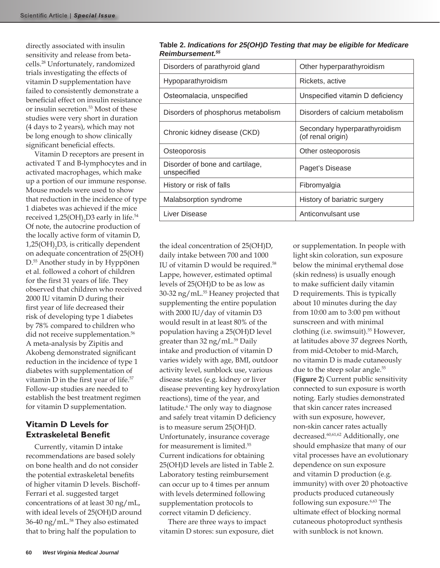directly associated with insulin sensitivity and release from betacells.28 Unfortunately, randomized trials investigating the effects of vitamin D supplementation have failed to consistently demonstrate a beneficial effect on insulin resistance or insulin secretion.53 Most of these studies were very short in duration (4 days to 2 years), which may not be long enough to show clinically significant beneficial effects.

Vitamin D receptors are present in activated T and B-lymphocytes and in activated macrophages, which make up a portion of our immune response. Mouse models were used to show that reduction in the incidence of type 1 diabetes was achieved if the mice received 1,25(OH)<sub>2</sub>D3 early in life.<sup>54</sup> Of note, the autocrine production of the locally active form of vitamin D,  $1,25(OH)$ <sub>2</sub>D3, is critically dependent on adequate concentration of 25(OH) D.55 Another study in by Hyppönen et al. followed a cohort of children for the first 31 years of life. They observed that children who received 2000 IU vitamin D during their first year of life decreased their risk of developing type 1 diabetes by 78% compared to children who did not receive supplementation.<sup>56</sup> A meta-analysis by Zipitis and Akobeng demonstrated significant reduction in the incidence of type 1 diabetes with supplementation of vitamin D in the first year of life.<sup>57</sup> Follow-up studies are needed to establish the best treatment regimen for vitamin D supplementation.

# **Vitamin D Levels for Extraskeletal Benefit**

Currently, vitamin D intake recommendations are based solely on bone health and do not consider the potential extraskeletal benefits of higher vitamin D levels. Bischoff-Ferrari et al. suggested target concentrations of at least 30 ng/mL, with ideal levels of 25(OH)D around 36-40 ng/mL.<sup>58</sup> They also estimated that to bring half the population to

| Disorders of parathyroid gland                 | Other hyperparathyroidism                          |  |  |  |
|------------------------------------------------|----------------------------------------------------|--|--|--|
| Hypoparathyroidism                             | Rickets, active                                    |  |  |  |
| Osteomalacia, unspecified                      | Unspecified vitamin D deficiency                   |  |  |  |
| Disorders of phosphorus metabolism             | Disorders of calcium metabolism                    |  |  |  |
| Chronic kidney disease (CKD)                   | Secondary hyperparathyroidism<br>(of renal origin) |  |  |  |
| Osteoporosis                                   | Other osteoporosis                                 |  |  |  |
| Disorder of bone and cartilage,<br>unspecified | Paget's Disease                                    |  |  |  |
| History or risk of falls                       | Fibromyalgia                                       |  |  |  |
| Malabsorption syndrome                         | History of bariatric surgery                       |  |  |  |
| Liver Disease                                  | Anticonvulsant use                                 |  |  |  |

**Table 2.** *Indications for 25(OH)D Testing that may be eligible for Medicare Reimbursement.55* 

the ideal concentration of 25(OH)D, daily intake between 700 and 1000 IU of vitamin D would be required.58 Lappe, however, estimated optimal levels of 25(OH)D to be as low as 30-32 ng/mL.55 Heaney projected that supplementing the entire population with 2000 IU/day of vitamin D3 would result in at least 80% of the population having a 25(OH)D level greater than 32 ng/mL.<sup>59</sup> Daily intake and production of vitamin D varies widely with age, BMI, outdoor activity level, sunblock use, various disease states (e.g. kidney or liver disease preventing key hydroxylation reactions), time of the year, and latitude.<sup>6</sup> The only way to diagnose and safely treat vitamin D deficiency is to measure serum 25(OH)D. Unfortunately, insurance coverage for measurement is limited.<sup>55</sup> Current indications for obtaining 25(OH)D levels are listed in Table 2. Laboratory testing reimbursement can occur up to 4 times per annum with levels determined following supplementation protocols to correct vitamin D deficiency.

There are three ways to impact vitamin D stores: sun exposure, diet or supplementation. In people with light skin coloration, sun exposure below the minimal erythemal dose (skin redness) is usually enough to make sufficient daily vitamin D requirements. This is typically about 10 minutes during the day from 10:00 am to 3:00 pm without sunscreen and with minimal clothing (i.e. swimsuit).<sup>55</sup> However, at latitudes above 37 degrees North, from mid-October to mid-March, no vitamin D is made cutaneously due to the steep solar angle.<sup>55</sup> (**Figure 2**) Current public sensitivity connected to sun exposure is worth noting. Early studies demonstrated that skin cancer rates increased with sun exposure, however, non-skin cancer rates actually decreased.<sup>60,61,62</sup> Additionally, one should emphasize that many of our vital processes have an evolutionary dependence on sun exposure and vitamin D production (e.g. immunity) with over 20 photoactive products produced cutaneously following sun exposure.<sup>6,63</sup> The ultimate effect of blocking normal cutaneous photoproduct synthesis with sunblock is not known.